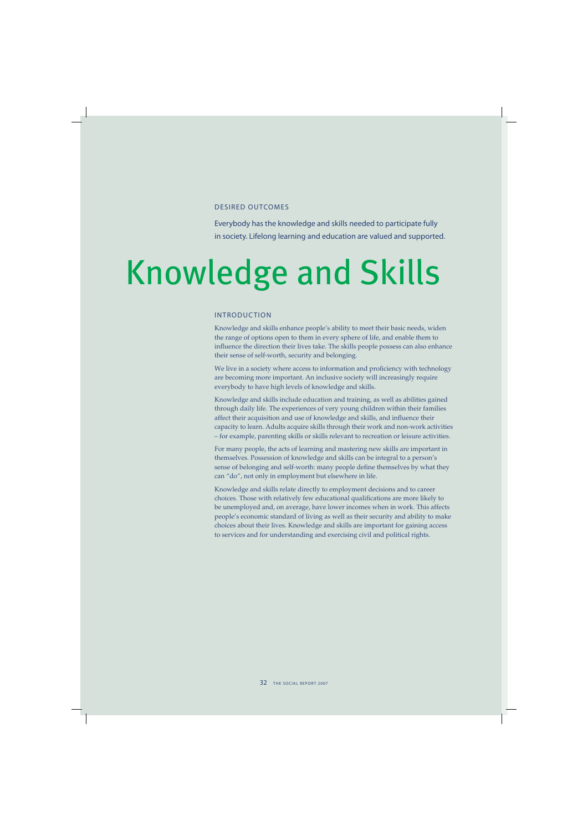## DESIRED OUTCOMES

Everybody has the knowledge and skills needed to participate fully in society. Lifelong learning and education are valued and supported.

# Knowledge and Skills

## INTRODUCTION

Knowledge and skills enhance people's ability to meet their basic needs, widen the range of options open to them in every sphere of life, and enable them to influence the direction their lives take. The skills people possess can also enhance their sense of self-worth, security and belonging.

We live in a society where access to information and proficiency with technology are becoming more important. An inclusive society will increasingly require everybody to have high levels of knowledge and skills.

Knowledge and skills include education and training, as well as abilities gained through daily life. The experiences of very young children within their families affect their acquisition and use of knowledge and skills, and influence their capacity to learn. Adults acquire skills through their work and non-work activities – for example, parenting skills or skills relevant to recreation or leisure activities.

For many people, the acts of learning and mastering new skills are important in themselves. Possession of knowledge and skills can be integral to a person's sense of belonging and self-worth: many people define themselves by what they can "do", not only in employment but elsewhere in life.

Knowledge and skills relate directly to employment decisions and to career choices. Those with relatively few educational qualifications are more likely to be unemployed and, on average, have lower incomes when in work. This affects people's economic standard of living as well as their security and ability to make choices about their lives. Knowledge and skills are important for gaining access to services and for understanding and exercising civil and political rights.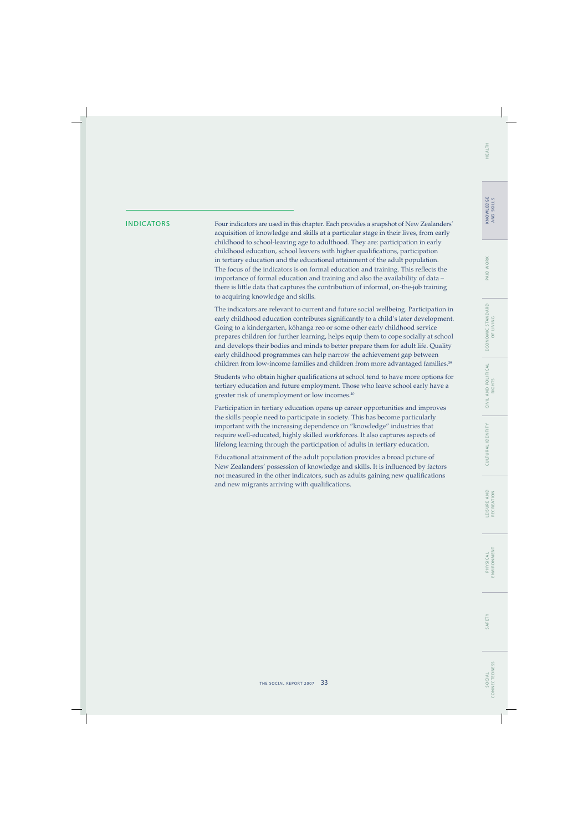## WORK PAID V

INDICATORS Four indicators are used in this chapter. Each provides a snapshot of New Zealanders' acquisition of knowledge and skills at a particular stage in their lives, from early childhood to school-leaving age to adulthood. They are: participation in early childhood education, school leavers with higher qualifications, participation in tertiary education and the educational attainment of the adult population. The focus of the indicators is on formal education and training. This reflects the importance of formal education and training and also the availability of data – there is little data that captures the contribution of informal, on-the-job training to acquiring knowledge and skills.

> The indicators are relevant to current and future social wellbeing. Participation in early childhood education contributes significantly to a child's later development. Going to a kindergarten, köhanga reo or some other early childhood service prepares children for further learning, helps equip them to cope socially at school and develops their bodies and minds to better prepare them for adult life. Quality early childhood programmes can help narrow the achievement gap between children from low-income families and children from more advantaged families.<sup>39</sup>

> Students who obtain higher qualifications at school tend to have more options for tertiary education and future employment. Those who leave school early have a greater risk of unemployment or low incomes.40

Participation in tertiary education opens up career opportunities and improves the skills people need to participate in society. This has become particularly important with the increasing dependence on "knowledge" industries that require well-educated, highly skilled workforces. It also captures aspects of lifelong learning through the participation of adults in tertiary education.

Educational attainment of the adult population provides a broad picture of New Zealanders' possession of knowledge and skills. It is influenced by factors not measured in the other indicators, such as adults gaining new qualifications and new migrants arriving with qualifications.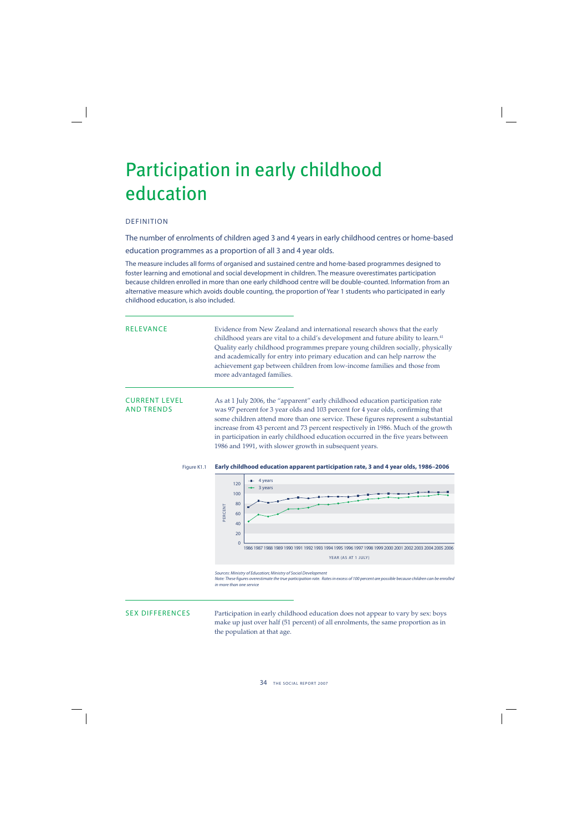## Participation in early childhood education

## DEFINITION

The number of enrolments of children aged 3 and 4 years in early childhood centres or home-based education programmes as a proportion of all 3 and 4 year olds.

The measure includes all forms of organised and sustained centre and home-based programmes designed to foster learning and emotional and social development in children. The measure overestimates participation because children enrolled in more than one early childhood centre will be double-counted. Information from an alternative measure which avoids double counting, the proportion of Year 1 students who participated in early childhood education, is also included.

RELEVANCE Evidence from New Zealand and international research shows that the early childhood years are vital to a child's development and future ability to learn.<sup>41</sup> Quality early childhood programmes prepare young children socially, physically and academically for entry into primary education and can help narrow the achievement gap between children from low-income families and those from more advantaged families.

CURRENT LEVEL As at 1 July 2006, the "apparent" early childhood education participation rate was 97 percent for 3 year olds and 103 percent for 4 year olds, confirming that some children attend more than one service. These figures represent a substantial increase from 43 percent and 73 percent respectively in 1986. Much of the growth in participation in early childhood education occurred in the five years between 1986 and 1991, with slower growth in subsequent years.

### Figure K1.1 **Early childhood education apparent participation rate, 3 and 4 year olds, 1986–2006**



Sources: Ministry of Education; Ministry of Social Development

Note: These figures overestimate the true participation rate. Rates in excess of 100 percent are possible because children can be enrolled in more than one service

SEX DIFFERENCES Participation in early childhood education does not appear to vary by sex: boys make up just over half (51 percent) of all enrolments, the same proportion as in the population at that age.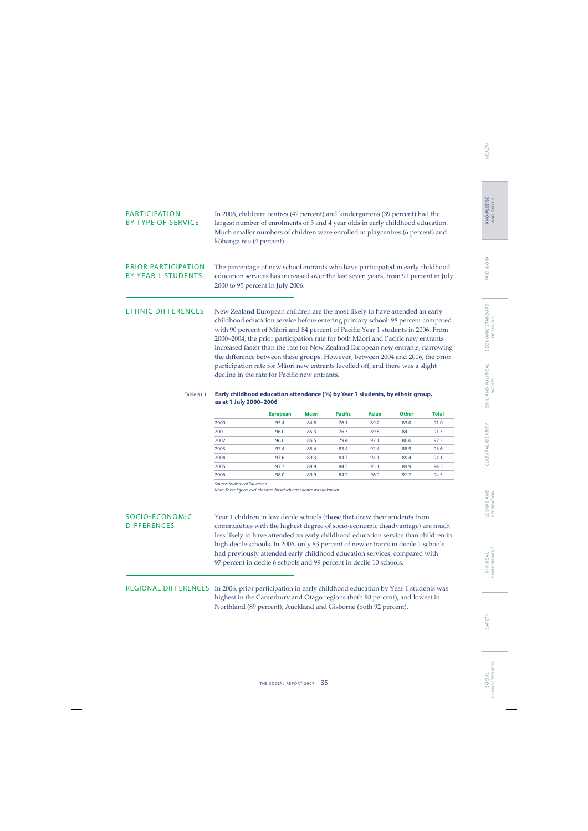| <b>PARTICIPATION</b><br><b>BY TYPE OF SERVICE</b>                          | In 2006, childcare centres (42 percent) and kindergartens (39 percent) had the<br>largest number of enrolments of 3 and 4 year olds in early childhood education.<br>Much smaller numbers of children were enrolled in playcentres (6 percent) and<br>kōhanga reo (4 percent).                                                                                                                                                                                                                                                                                                                                                                                                                                                    |                                                                                                                                                                                                                                                                                                                                                                                                                                                                                                                                                                                                                                               |              |                |              |              |              |  |  |
|----------------------------------------------------------------------------|-----------------------------------------------------------------------------------------------------------------------------------------------------------------------------------------------------------------------------------------------------------------------------------------------------------------------------------------------------------------------------------------------------------------------------------------------------------------------------------------------------------------------------------------------------------------------------------------------------------------------------------------------------------------------------------------------------------------------------------|-----------------------------------------------------------------------------------------------------------------------------------------------------------------------------------------------------------------------------------------------------------------------------------------------------------------------------------------------------------------------------------------------------------------------------------------------------------------------------------------------------------------------------------------------------------------------------------------------------------------------------------------------|--------------|----------------|--------------|--------------|--------------|--|--|
| <b>PRIOR PARTICIPATION</b><br><b>BY YEAR 1 STUDENTS</b>                    | The percentage of new school entrants who have participated in early childhood<br>education services has increased over the last seven years, from 91 percent in July<br>2000 to 95 percent in July 2006.                                                                                                                                                                                                                                                                                                                                                                                                                                                                                                                         |                                                                                                                                                                                                                                                                                                                                                                                                                                                                                                                                                                                                                                               |              |                |              |              |              |  |  |
| <b>ETHNIC DIFFERENCES</b>                                                  |                                                                                                                                                                                                                                                                                                                                                                                                                                                                                                                                                                                                                                                                                                                                   | New Zealand European children are the most likely to have attended an early<br>childhood education service before entering primary school: 98 percent compared<br>with 90 percent of Māori and 84 percent of Pacific Year 1 students in 2006. From<br>2000-2004, the prior participation rate for both Māori and Pacific new entrants<br>increased faster than the rate for New Zealand European new entrants, narrowing<br>the difference between these groups. However, between 2004 and 2006, the prior<br>participation rate for Māori new entrants levelled off, and there was a slight<br>decline in the rate for Pacific new entrants. |              |                |              |              |              |  |  |
| Table K1.1                                                                 | Early childhood education attendance (%) by Year 1 students, by ethnic group,<br>as at 1 July 2000-2006                                                                                                                                                                                                                                                                                                                                                                                                                                                                                                                                                                                                                           |                                                                                                                                                                                                                                                                                                                                                                                                                                                                                                                                                                                                                                               |              |                |              |              |              |  |  |
|                                                                            |                                                                                                                                                                                                                                                                                                                                                                                                                                                                                                                                                                                                                                                                                                                                   | <b>European</b>                                                                                                                                                                                                                                                                                                                                                                                                                                                                                                                                                                                                                               | Māori        | <b>Pacific</b> | <b>Asian</b> | <b>Other</b> | <b>Total</b> |  |  |
|                                                                            | 2000                                                                                                                                                                                                                                                                                                                                                                                                                                                                                                                                                                                                                                                                                                                              | 95.4                                                                                                                                                                                                                                                                                                                                                                                                                                                                                                                                                                                                                                          | 84.8         | 76.1           | 89.2         | 83.0         | 91.0         |  |  |
|                                                                            | 2001                                                                                                                                                                                                                                                                                                                                                                                                                                                                                                                                                                                                                                                                                                                              | 96.0                                                                                                                                                                                                                                                                                                                                                                                                                                                                                                                                                                                                                                          | 85.3         | 76.3           | 89.8         | 84.1         | 91.3         |  |  |
|                                                                            | 2002                                                                                                                                                                                                                                                                                                                                                                                                                                                                                                                                                                                                                                                                                                                              | 96.6                                                                                                                                                                                                                                                                                                                                                                                                                                                                                                                                                                                                                                          | 86.5         | 79.4           | 92.1         | 86.6         | 92.3         |  |  |
|                                                                            | 2003<br>2004                                                                                                                                                                                                                                                                                                                                                                                                                                                                                                                                                                                                                                                                                                                      | 97.4<br>97.6                                                                                                                                                                                                                                                                                                                                                                                                                                                                                                                                                                                                                                  | 88.4<br>89.3 | 83.4<br>84.7   | 92.4<br>94.1 | 88.9<br>89.4 | 93.6<br>94.1 |  |  |
|                                                                            | 2005                                                                                                                                                                                                                                                                                                                                                                                                                                                                                                                                                                                                                                                                                                                              | 97.7                                                                                                                                                                                                                                                                                                                                                                                                                                                                                                                                                                                                                                          | 89.9         | 84.5           | 95.1         | 89.9         | 94.3         |  |  |
|                                                                            | 2006                                                                                                                                                                                                                                                                                                                                                                                                                                                                                                                                                                                                                                                                                                                              | 98.0                                                                                                                                                                                                                                                                                                                                                                                                                                                                                                                                                                                                                                          | 89.9         | 84.2           | 96.0         | 91.7         | 94.5         |  |  |
|                                                                            | Source: Ministry of Education<br>Note: These figures exclude cases for which attendance was unknown                                                                                                                                                                                                                                                                                                                                                                                                                                                                                                                                                                                                                               |                                                                                                                                                                                                                                                                                                                                                                                                                                                                                                                                                                                                                                               |              |                |              |              |              |  |  |
| <b>SOCIO-ECONOMIC</b><br><b>DIFFERENCES</b><br><b>REGIONAL DIFFERENCES</b> | Year 1 children in low decile schools (those that draw their students from<br>communities with the highest degree of socio-economic disadvantage) are much<br>less likely to have attended an early childhood education service than children in<br>high decile schools. In 2006, only 83 percent of new entrants in decile 1 schools<br>had previously attended early childhood education services, compared with<br>97 percent in decile 6 schools and 99 percent in decile 10 schools.<br>In 2006, prior participation in early childhood education by Year 1 students was<br>highest in the Canterbury and Otago regions (both 98 percent), and lowest in<br>Northland (89 percent), Auckland and Gisborne (both 92 percent). |                                                                                                                                                                                                                                                                                                                                                                                                                                                                                                                                                                                                                                               |              |                |              |              |              |  |  |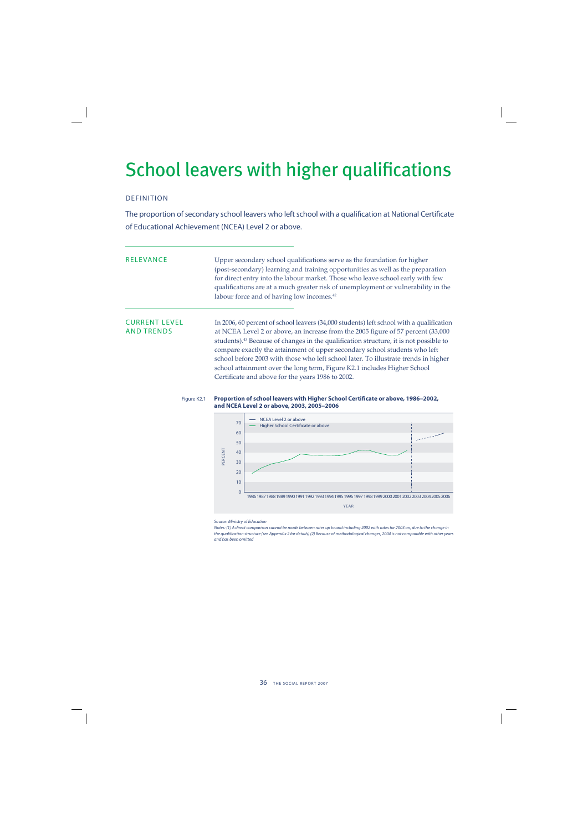## School leavers with higher qualifications

## DEFINITION

The proportion of secondary school leavers who left school with a qualification at National Certificate of Educational Achievement (NCEA) Level 2 or above.

RELEVANCE Upper secondary school qualifications serve as the foundation for higher (post-secondary) learning and training opportunities as well as the preparation for direct entry into the labour market. Those who leave school early with few qualifications are at a much greater risk of unemployment or vulnerability in the labour force and of having low incomes.<sup>42</sup>

CURRENT LEVEL In 2006, 60 percent of school leavers (34,000 students) left school with a qualification<br>AND TRENDS at NCEA Level 2 or above, an increase from the 2005 figure of 57 percent (33,000 at NCEA Level 2 or above, an increase from the 2005 figure of 57 percent (33,000 students).<sup>43</sup> Because of changes in the qualification structure, it is not possible to compare exactly the attainment of upper secondary school students who left school before 2003 with those who left school later. To illustrate trends in higher school attainment over the long term, Figure K2.1 includes Higher School Certificate and above for the years 1986 to 2002.

### Figure K2.1 **Proportion of school leavers with Higher School Certificate or above, 1986–2002, and NCEA Level 2 or above, 2003, 2005–2006**



Source: Ministry of Education

Notes: (1) A direct comparison cannot be made between rates up to and including 2002 with rates for 2003 on, due to the change in the qualification structure (see Appendix 2 for details) (2) Because of methodological changes, 2004 is not comparable with other years and has been omitted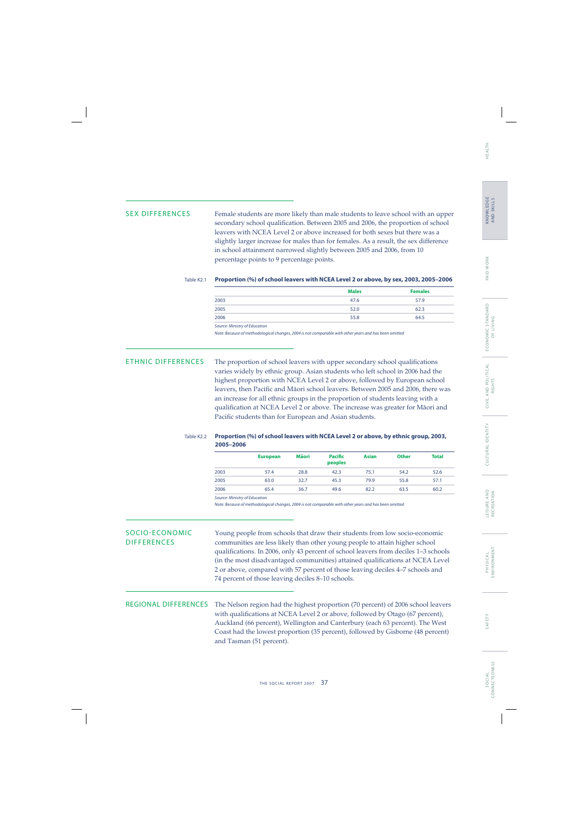S O C I A L CONNECTEDNESS

CONNECTEDNESS

SEX DIFFERENCES Female students are more likely than male students to leave school with an upper secondary school qualification. Between 2005 and 2006, the proportion of school leavers with NCEA Level 2 or above increased for both sexes but there was a slightly larger increase for males than for females. As a result, the sex difference in school attainment narrowed slightly between 2005 and 2006, from 10 percentage points to 9 percentage points.

## Table K2.1 **Proportion (%) of school leavers with NCEA Level 2 or above, by sex, 2003, 2005–2006**

|                  | <b>Males</b> | <b>Females</b> |
|------------------|--------------|----------------|
| 2003             | 47.6         | 57.9           |
| $\frac{2005}{1}$ | 52.0         | 62.3           |
| 2006             | 55.8         | 64.5           |
|                  |              |                |

Source: Ministry of Education

Note: Because of methodological changes, 2004 is not comparable with other years and has been omitted

ETHNIC DIFFERENCES The proportion of school leavers with upper secondary school qualifications varies widely by ethnic group. Asian students who left school in 2006 had the highest proportion with NCEA Level 2 or above, followed by European school leavers, then Pacific and Māori school leavers. Between 2005 and 2006, there was an increase for all ethnic groups in the proportion of students leaving with a qualification at NCEA Level 2 or above. The increase was greater for Māori and Pacific students than for European and Asian students.

## Table K2.2 **Proportion (%) of school leavers with NCEA Level 2 or above, by ethnic group, 2003, 2005–2006**

|      | <b>European</b> | <b>Mäori</b> | Pacific<br>peoples | <b>Asian</b> | <b>Other</b> | <b>Total</b> |
|------|-----------------|--------------|--------------------|--------------|--------------|--------------|
| 2003 | 57.4            | 28.8         | 42.3               | 75.1         | 54.2         | 52.6         |
| 2005 | 63.0            | 32.7         | 45.3               | 79.9         | 55.8         | 57.1         |
| 2006 | 65.4            | 36.7         | 49.6               | 82.2         | 63.5         | 60.2         |

Source: Ministry of Education

Note: Because of methodological changes, 2004 is not comparable with other years and has been omitted

SOCIO-ECONOMIC Young people from schools that draw their students from low socio-economic DIFFERENCES communities are less likely than other young people to attain higher school qualifications. In 2006, only 43 percent of school leavers from deciles 1-3 schools (in the most disadvantaged communities) attained qualifications at NCEA Level 2 or above, compared with 57 percent of those leaving deciles 4–7 schools and 74 percent of those leaving deciles 8–10 schools.

REGIONAL DIFFERENCES The Nelson region had the highest proportion (70 percent) of 2006 school leavers with qualifications at NCEA Level 2 or above, followed by Otago (67 percent), Auckland (66 percent), Wellington and Canterbury (each 63 percent). The West Coast had the lowest proportion (35 percent), followed by Gisborne (48 percent) and Tasman (51 percent).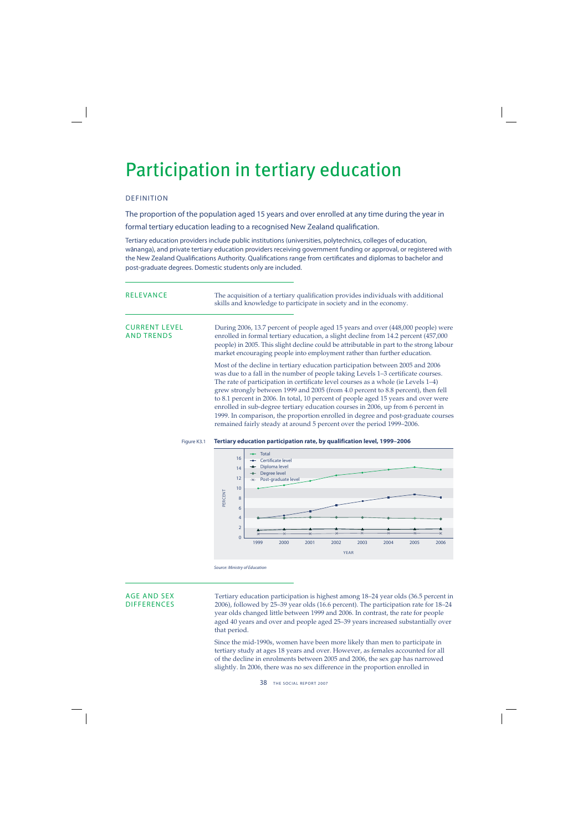## Participation in tertiary education

## DEFINITION

The proportion of the population aged 15 years and over enrolled at any time during the year in formal tertiary education leading to a recognised New Zealand qualification.

Tertiary education providers include public institutions (universities, polytechnics, colleges of education, wānanga), and private tertiary education providers receiving government funding or approval, or registered with the New Zealand Qualifications Authority. Qualifications range from certificates and diplomas to bachelor and post-graduate degrees. Domestic students only are included.

| <b>RELEVANCE</b>                          | The acquisition of a tertiary qualification provides individuals with additional<br>skills and knowledge to participate in society and in the economy.                                                                                                                                                                                        |
|-------------------------------------------|-----------------------------------------------------------------------------------------------------------------------------------------------------------------------------------------------------------------------------------------------------------------------------------------------------------------------------------------------|
| <b>CURRENT LEVEL</b><br><b>AND TRENDS</b> | During 2006, 13.7 percent of people aged 15 years and over (448,000 people) were<br>enrolled in formal tertiary education, a slight decline from 14.2 percent (457,000<br>people) in 2005. This slight decline could be attributable in part to the strong labour<br>market encouraging people into employment rather than further education. |
|                                           | Most of the decline in tertiary education participation between 2005 and 2006<br>was due to a fall in the number of people taking Levels 1-3 certificate courses.<br>The rate of participation in certificate level courses as a whole (ie Levels 1–4)<br>grew strongly between 1999 and 2005 (from 4.0 percent to 8.8 percent), then fell    |

to 8.1 percent in 2006. In total, 10 percent of people aged 15 years and over were enrolled in sub-degree tertiary education courses in 2006, up from 6 percent in 1999. In comparison, the proportion enrolled in degree and post-graduate courses remained fairly steady at around 5 percent over the period 1999–2006.

### Figure K3.1 **Tertiary education participation rate, by qualification level, 1999–2006**



Source: Ministry of Education

AGE AND SEX Tertiary education participation is highest among 18–24 year olds (36.5 percent in<br>DIFFERENCES 2006), followed by 25–39 year olds (16.6 percent). The participation rate for 18–24 2006), followed by 25–39 year olds (16.6 percent). The participation rate for 18–24 year olds changed little between 1999 and 2006. In contrast, the rate for people aged 40 years and over and people aged 25–39 years increased substantially over that period.

> Since the mid-1990s, women have been more likely than men to participate in tertiary study at ages 18 years and over. However, as females accounted for all of the decline in enrolments between 2005 and 2006, the sex gap has narrowed slightly. In 2006, there was no sex difference in the proportion enrolled in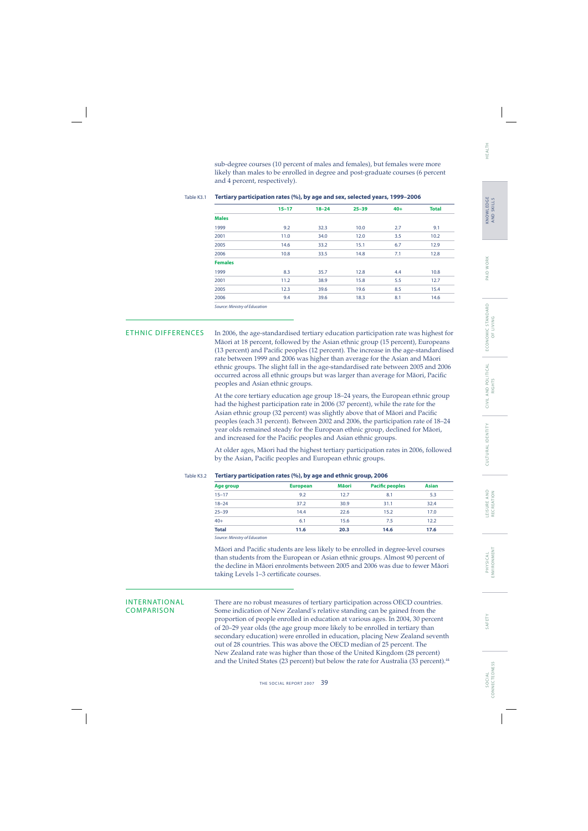sub-degree courses (10 percent of males and females), but females were more likely than males to be enrolled in degree and post-graduate courses (6 percent and 4 percent, respectively).

|                | $15 - 17$ | $18 - 24$ | $25 - 39$ | $40+$ | <b>Total</b> |
|----------------|-----------|-----------|-----------|-------|--------------|
| <b>Males</b>   |           |           |           |       |              |
| 1999           | 9.2       | 32.3      | 10.0      | 2.7   | 9.1          |
| 2001           | 11.0      | 34.0      | 12.0      | 3.5   | 10.2         |
| 2005           | 14.6      | 33.2      | 15.1      | 6.7   | 12.9         |
| 2006           | 10.8      | 33.5      | 14.8      | 7.1   | 12.8         |
| <b>Females</b> |           |           |           |       |              |
| 1999           | 8.3       | 35.7      | 12.8      | 4.4   | 10.8         |
| 2001           | 11.2      | 38.9      | 15.8      | 5.5   | 12.7         |
| 2005           | 12.3      | 39.6      | 19.6      | 8.5   | 15.4         |
| 2006           | 9.4       | 39.6      | 18.3      | 8.1   | 14.6         |
|                |           |           |           |       |              |

### Table K3.1 **Tertiary participation rates (%), by age and sex, selected years, 1999–2006**

Source: Ministry of Education

ETHNIC DIFFERENCES In 2006, the age-standardised tertiary education participation rate was highest for Mäori at 18 percent, followed by the Asian ethnic group (15 percent), Europeans (13 percent) and Pacific peoples (12 percent). The increase in the age-standardised rate between 1999 and 2006 was higher than average for the Asian and Mäori ethnic groups. The slight fall in the age-standardised rate between 2005 and 2006 occurred across all ethnic groups but was larger than average for Māori, Pacific peoples and Asian ethnic groups.

> At the core tertiary education age group 18–24 years, the European ethnic group had the highest participation rate in 2006 (37 percent), while the rate for the Asian ethnic group (32 percent) was slightly above that of Māori and Pacific peoples (each 31 percent). Between 2002 and 2006, the participation rate of 18–24 year olds remained steady for the European ethnic group, declined for Mäori, and increased for the Pacific peoples and Asian ethnic groups.

> At older ages, Mäori had the highest tertiary participation rates in 2006, followed by the Asian, Pacific peoples and European ethnic groups.

| Age group    | <b>European</b> | <b>Mäori</b> | <b>Pacific peoples</b> | <b>Asian</b> |
|--------------|-----------------|--------------|------------------------|--------------|
| $15 - 17$    | 9.2             | 12.7         | 8.1                    | 5.3          |
| $18 - 24$    | 37.2            | 30.9         | 31.1                   | 32.4         |
| $25 - 39$    | 14.4            | 22.6         | 15.2                   | 17.0         |
| $40+$        | 6.1             | 15.6         | 7.5                    | 12.2         |
| <b>Total</b> | 11.6            | 20.3         | 14.6                   | 17.6         |

Table K3.2 **Tertiary participation rates (%), by age and ethnic group, 2006**

Source: Ministry of Education

Māori and Pacific students are less likely to be enrolled in degree-level courses than students from the European or Asian ethnic groups. Almost 90 percent of the decline in Mäori enrolments between 2005 and 2006 was due to fewer Mäori taking Levels 1-3 certificate courses.

INTERNATIONAL There are no robust measures of tertiary participation across OECD countries. COMPARISON Some indication of New Zealand's relative standing can be gained from the proportion of people enrolled in education at various ages. In 2004, 30 percent of 20–29 year olds (the age group more likely to be enrolled in tertiary than secondary education) were enrolled in education, placing New Zealand seventh out of 28 countries. This was above the OECD median of 25 percent. The New Zealand rate was higher than those of the United Kingdom (28 percent) and the United States (23 percent) but below the rate for Australia (33 percent).44

HEALTH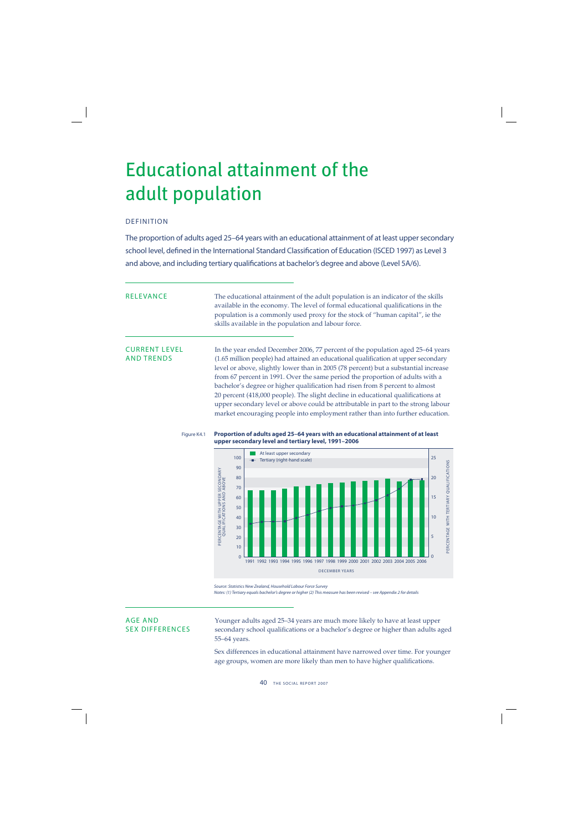## Educational attainment of the adult population

## DEFINITION

The proportion of adults aged 25–64 years with an educational attainment of at least upper secondary school level, defined in the International Standard Classification of Education (ISCED 1997) as Level 3 and above, and including tertiary qualifications at bachelor's degree and above (Level 5A/6).

RELEVANCE The educational attainment of the adult population is an indicator of the skills available in the economy. The level of formal educational qualifications in the population is a commonly used proxy for the stock of "human capital", ie the skills available in the population and labour force.

CURRENT LEVEL In the year ended December 2006, 77 percent of the population aged 25–64 years AND TRENDS (1.65 million people) had attained an educational qualification at upper secondary level or above, slightly lower than in 2005 (78 percent) but a substantial increase from 67 percent in 1991. Over the same period the proportion of adults with a bachelor's degree or higher qualification had risen from 8 percent to almost 20 percent (418,000 people). The slight decline in educational qualifications at upper secondary level or above could be attributable in part to the strong labour market encouraging people into employment rather than into further education.

Figure K4.1 **Proportion of adults aged 25–64 years with an educational attainment of at least upper secondary level and tertiary level, 1991–2006**



Source: Statistics New Zealand, Household Labour Force Survey Notes: (1) Tertiary equals bachelor's degree or higher (2) This measure has been revised – see Appendix 2 for details

AGE AND Younger adults aged 25–34 years are much more likely to have at least upper<br>SEX DIFFERENCES secondary school qualifications or a bachelor's degree or higher than adults a secondary school qualifications or a bachelor's degree or higher than adults aged 55–64 years.

> Sex differences in educational attainment have narrowed over time. For younger age groups, women are more likely than men to have higher qualifications.